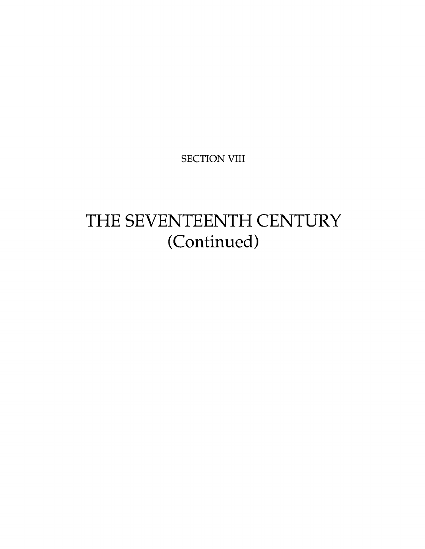SECTION VIII

# THE SEVENTEENTH CENTURY (Continued)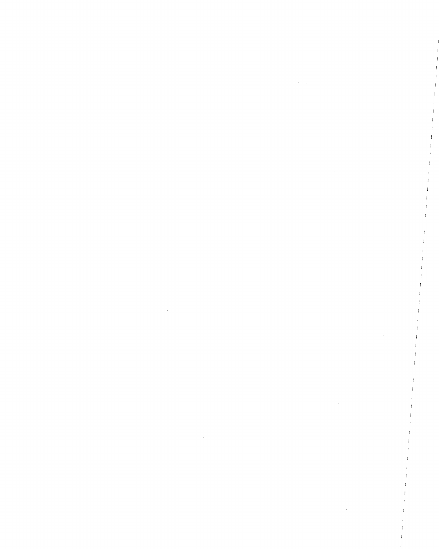$\sim 10^6$ 

 $\mathcal{L}(\mathcal{L}(\mathcal{L}))$  and  $\mathcal{L}(\mathcal{L}(\mathcal{L}))$  . The contribution of  $\mathcal{L}(\mathcal{L})$ 

 $\label{eq:2.1} \mathcal{L}(\mathcal{L}^{\mathcal{L}}_{\mathcal{L}}(\mathcal{L}^{\mathcal{L}}_{\mathcal{L}})) \leq \mathcal{L}(\mathcal{L}^{\mathcal{L}}_{\mathcal{L}}(\mathcal{L}^{\mathcal{L}}_{\mathcal{L}})) \leq \mathcal{L}(\mathcal{L}^{\mathcal{L}}_{\mathcal{L}}(\mathcal{L}^{\mathcal{L}}_{\mathcal{L}}))$ 

 $\label{eq:2.1} \frac{1}{\sqrt{2}}\int_{\mathbb{R}^3}\frac{1}{\sqrt{2}}\left(\frac{1}{\sqrt{2}}\right)^2\frac{1}{\sqrt{2}}\left(\frac{1}{\sqrt{2}}\right)^2\frac{1}{\sqrt{2}}\left(\frac{1}{\sqrt{2}}\right)^2\frac{1}{\sqrt{2}}\left(\frac{1}{\sqrt{2}}\right)^2.$ 

 $\bar{1}$ 

 $\mathbb{T}$ 

 $\sim 10^{-1}$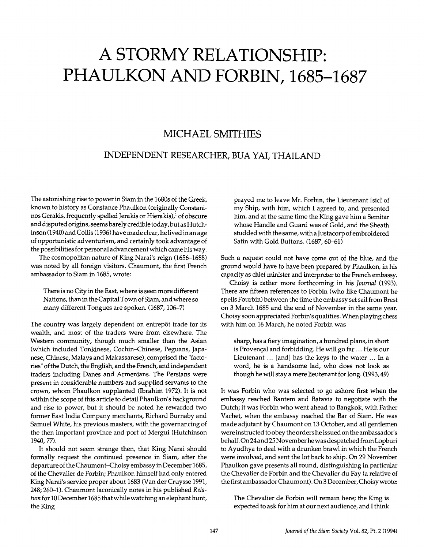# **A STORMY RELATIONSHIP: PHAULKON AND FORBIN, 1685-1687**

# MICHAEL SMITHIES

# INDEPENDENT RESEARCHER, BUA YAI, THAILAND

The astonishing rise to power in Siam in the 1680s of the Greek, known to history as Constance Phaulkon (originally Constaninos Gerakis, frequently spelled Jerakis or Hierakis),<sup>1</sup> of obscure and disputed origins, seems barely credible today, but as Hutchinson (1940) and Collis (1936) have made clear, he lived in an age of opportunistic adventurism, and certainly took advantage of the possibilities for personal advancement which came his way.

The cosmopolitan nature of King Narai's reign (1656-1688) was noted by all foreign visitors. Chaumont, the first French ambassador to Siam in 1685, wrote:

There is no City in the East, where is seen more different Nations, than in the Capital Town of Siam, and where so many different Tongues are spoken. (1687, 106-7)

The country was largely dependent on entrep6t trade for its wealth, and most of the traders were from elsewhere. The Western community, though much smaller than the Asian (which included Tonkinese, Cochin-Chinese, Peguans, Japanese, Chinese, Malays and Makassarese), comprised the "factories" of the Dutch, the English, and the French, and independent traders including Danes and Armenians. The Persians were present in considerable numbers and supplied servants to the crown, whom Phaulkon supplanted (Ibrahim 1972). It is not within the scope of this article to detail Phaulkon's background and rise to power, but it should be noted he rewarded two former East India Company merchants, Richard Burnaby and Samuel White, his previous masters, with the governancing of the then important province and port of Mergui (Hutchinson 1940, 77).

It should not seem strange then, that King Narai should formally request the continued presence in Siam, after the departure of the Chaumont-Choisy embassy in December 1685, of the Chevalier de Forbin; Phaulkon himself had only entered King Narai's service proper about 1683 (Vander Cruysse 1991, 248; 260-1). Chaumont laconically notes in his published Rela*tion* for 10 December 1685 that while watching an elephant hunt, the King

prayed me to leave Mr. Forbin, the Lieutenant [sic] of my Ship, with him, which I agreed to, and presented him, and at the same time the King gave him a Semitar whose Handle and Guard was of Gold, and the Sheath studded with the same, with a Justa corp of embroidered Satin with Gold Buttons. (1687, 60-61)

Such a request could not have come out of the blue, and the ground would have to have been prepared by Phaulkon, in his capacity as chief minister and interpreter to the French embassy.

Choisy is rather more forthcoming in his *Journal* (1993). There are fifteen references to Forbin (who like Chaumont he spells Fourbin) between the time the embassy set sail from Brest on 3 March 1685 and the end of November in the same year. Choisy soon appreciated Forbin's qualities. When playing chess with him on 16 March, he noted Forbin was

sharp, has a fiery imagination, a hundred plans, in short is Provençal and forbidding. He will go far  $\dots$  He is our Lieutenant ... [and] has the keys to the water ... In a word, he is a handsome lad, who does not look as though he will stay a mere lieutenant for long. (1993, 49)

It was Forbin who was selected to go ashore first when the embassy reached Bantem and Batavia to negotiate with the Dutch; it was Forbin who went ahead to Bangkok, with Father Vachet, when the embassy reached the Bar of Siam. He was made adjutant by Chaumont on 13 October, and all gentlemen were instructed to obey the orders he issued on the ambassador's behalf. On 24 and25 November he was despatched from Lopburi to Ayudhya to deal with a drunken brawl in which the French were involved, and sent the lot back to ship. On 29 November Phaulkon gave presents all round, distinguishing in particular the Chevalier de Forbin and the Chevalier du Fay (a relative of the first ambassador Chaumont). On 3 December, Choisywrote:

The Chevalier de Forbin will remain here; the King is expected to ask for him at our next audience, and I think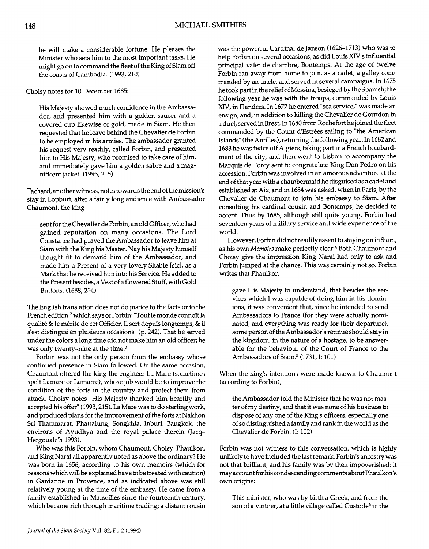he will make a considerable fortune. He pleases the Minister who sets him to the most important tasks. He might go on to command the fleet of the King of Siam off the coasts of Cambodia. (1993, 210)

Choisy notes for 10 December 1685:

His Majesty showed much confidence in the Ambassador, and presented him with a golden saucer and a covered cup likewise of gold, made in Siam. He then requested that he leave behind the Chevalier de Forbin to be employed in his armies. The ambassador granted his request very readily, called Forbin, and presented him to His Majesty, who promised to take care of him, and immediately gave him a golden sabre and a magnificent jacket. (1993, 215)

Tachard, another witness, notes towards the end of the mission's stay in Lopburi, after a fairly long audience with Ambassador Chaumont, the king

sent for the Chevalier de Forbin, an old Officer, who had gained reputation on many occasions. The Lord Constance had prayed the Ambassador to leave him at Siam with the King his Master. Nay his Majesty himself thought fit to demand him of the Ambassador, and made him a Present of a very lovely Shable [sic], as a Mark that he received him into his Service. He added to the Present besides, a Vest of a flowered Stuff, with Gold Buttons. (1688, 234)

The English translation does not do justice to the facts or to the French edition,<sup>2</sup> which says of Forbin: "Tout le monde connoît la qualite & le merite de cet Officier. Il sert depuis longtemps, & il s'est distingué en plusieurs occasions" (p. 242). That he served under the colors a long time did not make him an old officer; he was only twenty-nine at the time.3

Forbin was not the only person from the embassy whose continued presence in Siam followed. On the same occasion, Chaumont offered the king the engineer La Mare (sometimes spelt Lamare or Lamarre), whose job would be to improve the condition of the forts in the country and protect them from attack. Choisy notes "His Majesty thanked him heartily and accepted his offer" (1993, 215). La Mare was to do sterling work, and produced plans for the improvement of the forts at Nakhon Sri Thammarat, Phattalung, Songkhla, Inburi, Bangkok, the environs of Ayudhya and the royal palace therein (Jacq-Hergoualc'h 1993).

Who was this Forbin, whom Chaumont, Choisy, Phaulkon, and King Narai all apparently noted as above the ordinary? He was born in 1656, according to his own memoirs (which for reasons which will be explained have to be treated with caution) in Gardanne in Provence, and as indicated above was still relatively young at the time of the embassy. He came from a family established in Marseilles since the fourteenth century, which became rich through maritime trading; a distant cousin

was the powerful Cardinal de Janson (1626-1713) who was to help Forbin on several occasions, as did Louis XIV's influential principal valet de chambre, Bontemps. At the age of twelve Forbin ran away from home to join, as a cadet, a galley commanded by an uncle, and served in several campaigns. In 1675 he took part in the relief of Messina, besieged by the Spanish; the following year he was with the troops, commanded by Louis XIV, in Flanders. In 1677 he entered "sea service," was made an ensign, and, in addition to killing the Chevalier de Gourdon in a duel, served in Brest. In 1680 from Rochefort he joined the fleet commanded by the Count d'Estrées sailing to "the American Islands" (the Antilles), returning the following year. In 1682 and 1683 he was twice off Algiers, taking part in a French bombardment of the city, and then went to Lisbon to accompany the Marquis de Torey sent to congratulate King Don Pedro on his accession. Forbin was involved in an amorous adventure at the end of that year with a chambermaid he disguised as a cadet and established at Aix, and in 1684 was asked, when in Paris, by the Chevalier de Chaumont to join his embassy to Siam. After consulting his cardinal cousin and Bontemps, he decided to accept. Thus by 1685, although still quite young, Forbin had seventeen years of military service and wide experience of the world.

However, Forbin did not readily assent to staying on in Siam, as his own *Memoirs* make perfectly clear.4 Both Chaumont and Choisy give the impression King Narai had only to ask and Forbin jumped at the chance. This was certainly not so. Forbin writes that Phaulkon

gave His Majesty to understand, that besides the services which I was capable of doing him in his dominions, it was convenient that, since he intended to send Ambassadors to France (for they were actually nominated, and everything was ready for their departure), some person of the Ambassador's retinue should stay in the kingdom, in the nature of a hostage, to be answerable for the behaviour of the Court of France to the Ambassadors of Siam.<sup>5</sup> (1731, I: 101)

When the king's intentions were made known to Chaumont (according to Forbin),

the Ambassador told the Minister that he was not master of my destiny, and that it was none of his business to dispose of any one of the King's officers, especially one of so distinguished a family and rank in the world as the Chevalier de Forbin. (I: 102)

Forbin was not witness to this conversation, which is highly unlikely to have included the last remark. Forbin's ancestry was not that brilliant, and his family was by then impoverished; it may account for his condescending comments aboutPhaulkon's own origins:

This minister, who was by birth a Greek, and from the son of a vintner, at a little village called Custode<sup>6</sup> in the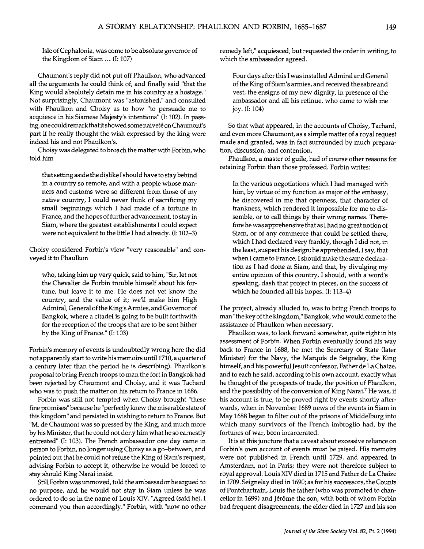Isle of Cephalonia, was come to be absolute governor of the Kingdom of Siam ... (I: 107)

Chaumont's reply did not put off Phaulkon, who advanced all the arguments he could think of, and finally said "that the King would absolutely detain me in his country as a hostage." Not surprisingly, Chaumont was "astonished," and consulted with Phaulkon and Choisy as to how "to persuade me to acquiesce in his Siamese Majesty's intentions" (I: 102). In passing, one could remark that it showed some naivete on Chaumont's part if he really thought the wish expressed by the king were indeed his and not Phaulkon's.

Choisy was delegated to broach the matter with Forbin, who told him

that setting aside the dislike I should have to stay behind in a country so remote, and with a people whose manners and customs were so different from those of my native country, I could never think of sacrificing my small beginnings which I had made of a fortune in France, and the hopes of further advancement, to stay in Siam, where the greatest establishments I could expect were not equivalent to the little I had already. (I: 102-3)

Choisy considered Forbin's view "very reasonable" and conveyed it to Phaulkon

who, taking him up very quick, said to him, "Sir, let not the Chevalier de Forbin trouble himself about his fortune, but leave it to me. He does not yet know the country, and the value of it; we'll make him High Admiral, General of the King's Armies, and Governor of Bangkok, where a citadel is going to be built forthwith for the reception of the troops that are to be sent hither by the King of France." (I: 103)

Forbin's memory of events is undoubtedly wrong here (he did not apparently start to write his memoirs until 1710, a quarter of a century later than the period he is describing). Phaulkon's proposal to bring French troops to man the fort in Bangkok had been rejected by Chaumont and Choisy, and it was Tachard who was to push the matter on his return to France in 1686.

Forbin was still not tempted when Choisy brought "these fine promises" because he "perfectly knew the miserable state of this kingdom" and persisted in wishing to return to France. But "M. de Chaumont was so pressed by the King, and much more by his Minister, that he could not deny him what he so earnestly entreated" (I: 103). The French ambassador one day came in person to Forbin, no longer using Choisy as a go-between, and pointed out that he could not refuse the King of Siam's request, advising Forbin to accept it, otherwise he would be forced to stay should King Narai insist.

Still Forbin was unmoved, told the ambassador he argued to no purpose, and he would not stay in Siam unless he was ordered to do so in the name of Louis XIV. "Agreed (said he), I command you then accordingly." Forbin, with "now no other remedy left," acquiesced, but requested the order in writing, to which the ambassador agreed.

Four days after this I was installed Admiral and General of the King of Siam's armies, and received the sabre and vest, the ensigns of my new dignity, in presence of the ambassador and all his retinue, who came to wish me joy. (I: 104)

So that what appeared, in the accounts of Choisy, Tachard, and even more Chaumont, as a simple matter of a royal request made and granted, was in fact surrounded by much preparation, discussion, and contention.

Phaulkon, a master of guile, had of course other reasons for retaining Forbin than those professed. Forbin writes:

In the various negotiations which I had managed with him, by virtue of my function as major of the embassy, he discovered in me that openness, that character of frankness, which rendered it impossible for me to dissemble, or to call things by their wrong names. Therefore he was apprehensive that as I had no great notion of Siam, or of any commerce that could be settled there, which I had declared very frankly, though I did not, in the least, suspect his design; he apprehended, I say, that when I came to France, I should make the same declaration as I had done at Siam, and that, by divulging my entire opinion of this country, I should, with a word's speaking, dash that project in pieces, on the success of which he founded all his hopes. (I: 113-4)

The project, already alluded to, was to bring French troops to man "the key of the kingdom," Bangkok, who would come to the assistance of Phaulkon when necessary.

Phaulkon was, to look forward somewhat, quite right in his assessment of Forbin. When Forbin eventually found his way back to France in 1688, he met the Secretary of State (later Minister) for the Navy, the Marquis de Seignelay, the King himself, and his powerful Jesuit confessor, Father de La Chaize, and to each he said, according to his own account, exactly what he thought of the prospects of trade, the position of Phaulkon, and the possibility of the conversion of King Narai.7 He was, if his account is true, to be proved right by events shortly afterwards, when in November 1689 news of the events in Siam in May 1688 began to filter out of the prisons of Middelburg into which many survivors of the French imbroglio had, by the fortunes of war, been incarcerated.

It is at this juncture that a caveat about excessive reliance on Forbin's own account of events must be raised. His memoirs were not published in French until 1729, and appeared in Amsterdam, not in Paris; they were not therefore subject to royal approval. Louis XIV died in 1715 and Father de La Chaize in 1709. Seignelay died in 1690; as for his successors, the Counts of Pontchartrain, Louis the father (who was promoted to chancellor in 1699) and Jérôme the son, with both of whom Forbin had frequent disagreements, the elder died in 1727 and his son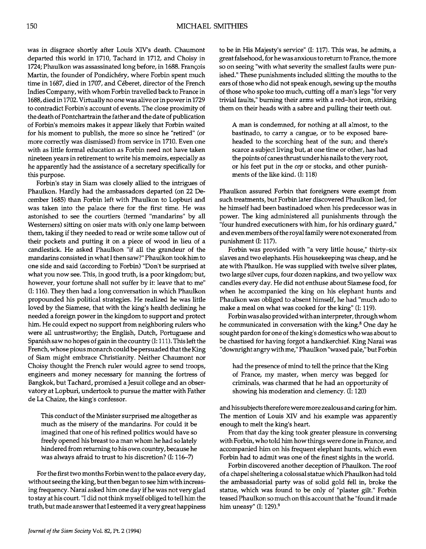was in disgrace shortly after Louis XIV's death. Chaumont departed this world in 1710, Tachard in 1712, and Choisy in 1724; Phaulkon was assassinated long before, in 1688. François Martin, the founder of Pondichéry, where Forbin spent much time in 1687, died in 1707, and Ceberet, director of the French Indies Company, with whom Forbin travelled back to France in 1688,diedin 1702. Virtuallynoonewasaliveorin power in 1729 to contradict Forbin's account of events. The close proximity of the death of Pontchartrain the father and the date of publication of Forbin's memoirs makes it appear likely that Forbin waited for his moment to publish, the more so since he "retired" (or more correctly was dismissed) from service in 1710. Even one with as little formal education as Forbin need not have taken nineteen years in retirement to write his memoirs, especially as he apparently had the assistance of a secretary specifically for this purpose.

Forbin's stay in Siam was closely allied to the intrigues of Phaulkon. Hardly had the ambassadors departed (on 22 December 1685) than Forbin left with Phaulkon to Lopburi and was taken into the palace there for the first time. He was astonished to see the courtiers (termed "mandarins" by all Westerners) sitting on osier mats with only one lamp between them, taking if they needed to read or write some tallow out of their pockets and putting it on a piece of wood in lieu of a candlestick. He asked Phaulkon "if all the grandeur of the mandarins consisted in what I then saw?" Phaulkon took him to one side and said (according to Forbin) "Don't be surprised at what you now see. This, in good truth, is a poor kingdom; but, however, your fortune shall not suffer by it: leave that to me" (I: 116). They then had a long conversation in which Phaulkon propounded his political strategies. He realized he was little loved by the Siamese, that with the king's health declining he needed a foreign power in the kingdom to support and protect him. He could expect no support from neighboring rulers who were all untrustworthy; the English, Dutch, Portuguese and Spanish saw no hopes of gain in the country (I: 111). This left the French, whose pious monarch could be persuaded that the King of Siam might embrace Christianity. Neither Chaumont nor Choisy thought the French ruler would agree to send troops, engineers and money necessary for manning the fortress of Bangkok, but Tachard, promised a Jesuit college and an observatory at Lopburi, undertook to pursue the matter with Father de La Chaize, the king's confessor.

This conduct of the Minister surprised me altogether as much as the misery of the mandarins. For could it be imagined that one of his refined politics would have so freely opened his breast to a man whom he had so lately hindered from returning to his own country, because he was always afraid to trust to his discretion? (I: 116-7)

For the first two months Forbin went to the palace every day, without seeing the king, but then began to see him with increasing frequency. Narai asked him one day if he was not very glad to stay at his court. "I did not think myself obliged to tell him the truth, but made answer that I esteemed it a very great happiness to be in His Majesty's service" (I: 117). This was, he admits, a great falsehood, for he was anxious to return to France, the more so on seeing "with what severity the smallest faults were punished." These punishments included slitting the mouths to the ears of those who did not speak enough, sewing up the mouths of those who spoke too much, cutting off a man's legs "for very trivial faults," burning their arms with a red-hot iron, striking them on their heads with a sabre and pulling their teeth out.

A man is condemned, for nothing at all almost, to the bastinado, to carry a cangue, or to be exposed bareheaded to the scorching heat of the sun; and there's scarce a subject living but, at one time or other, has had the points of canes thrust under his nails to the very root, or his feet put in the *cep* or stocks, and other punishments of the like kind. (I: 118)

Phaulkon assured Forbin that foreigners were exempt from such treatments, but Forbin later discovered Phaulkon lied, for he himself had been bastinadoed when his predecessor was in power. The king administered all punishments through the "four hundred executioners with him, for his ordinary guard," and even members of the royal family were not exonerated from punishment (I: 117).

Forbin was provided with "a very little house," thirty-six slaves and two elephants. His housekeeping was cheap, and he ate with Phaulkon. He was supplied with twelve silver plates, two large silver cups, four dozen napkins, and two yellow wax candles every day. He did not enthuse about Siamese food, for when he accompanied the king on his elephant hunts and Phaulkon was obliged to absent himself, he had "much ado to make a meal on what was cooked for the king" (I: 119).

Forbin was also provided with an interpreter, through whom he communicated in conversation with the king.<sup>8</sup> One day he sought pardon for one of the king's domestics who was about to be chastised for having forgot a handkerchief. King Narai was "downright angry with me," Phaulkon "waxed pale," but Forbin

had the presence of mind to tell the prince that the King of France, my master, when mercy was begged for criminals, was charmed that he had an opportunity of showing his moderation and clemency. (I: 120)

and his subjects therefore were more zealous and caring for him. The mention of Louis XIV and his example was apparently enough to melt the king's heart.

From that day the king took greater pleasure in conversing with Forbin, who told him how things were done in France, and accompanied him on his frequent elephant hunts, which even Forbin had to admit was one of the finest sights in the world.

Forbin discovered another deception of Phaulkon. The roof of a chapel sheltering a colossal statue which Phaulkon had told the ambassadorial party was of solid gold fell in, broke the statue, which was found to be only of "plaster gilt." Forbin teased Phaulkon so much on this account that he "found it made him uneasy" (I: 129).9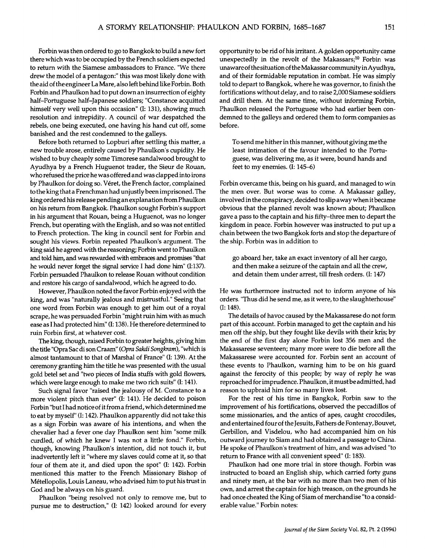Forbin was then ordered to go to Bangkok to build a new fort there which was to be occupied by the French soldiers expected to return with the Siamese ambassadors to France. "We there drew the model of a pentagon:" this was most likely done with the aid of the engineer La Mare, also left behind like Forbin. Both Forbin and Phaulkon had to put down an insurrection of eighty half-Portuguese half-Japanese soldiers; "Constance acquitted himself very well upon this occasion" (I: 131), showing much resolution and intrepidity. A council of war despatched the rebels, one being executed, one having his hand cut off, some banished and the rest condemned to the galleys.

Before both returned to Lopburi after settling this matter, a new trouble arose, entirely caused by Phaulkon's cupidity. He wished to buy cheaply some Timorese sandalwood brought to Ayudhya by a French Huguenot trader, the Sieur de Rouan, who refused the price he was offered and was clapped into irons by Phaulkon for doing so. Véret, the French factor, complained to the king that a Frenchman had unjustly been imprisoned. The king ordered his release pending an explanation from Phaulkon on his return from Bangkok. Phaulkon sought Forbin's support in his argument that Rouan, being a Huguenot, was no longer French, but operating with the English, and so was not entitled to French protection. The king in council sent for Forbin and sought his views. Forbin repeated Phaulkon's argument. The king said he agreed with the reasoning; Forbin went to Phaulkon and told him, and was rewarded with embraces and promises "that he would never forget the signal service I had done him" (1:137). Forbin persuaded Phaulkon to release Rouan without condition and restore his cargo of sandalwood, which he agreed to do.

However, Phaulkon noted the favor Forbin enjoyed with the king, and was "naturally jealous and mistrustful." Seeing that one word from Forbin was enough to get him out of a royal scrape, he was persuaded Forbin "might ruin him with as much ease as I had protected him" (1: 138). He therefore determined to ruin Forbin first, at whatever cost.

The king, though, raised Forbin to greater heights, giving him the title "Opra Sac di son Craam" ( Opra Sakdi Songkram), "which is almost tantamount to that of Marshal of France" (1: 139). At the ceremony granting him the title he was presented with the usual gold betel set and "two pieces of India stuffs with gold flowers, which were large enough to make me two rich suits" (1: 141).

Such signal favor "raised the jealousy of M. Constance to a more violent pitch than ever" (I: 141). He decided to poison Forbin "but I had notice of it from a friend, which determined me to eat by myself" (I: 142). Phaulkon apparently did not take this as a sign Forbin was aware of his intentions, and when the chevalier had a fever one day Phaulkon sent him "some milk curdled, of which he knew I was not a little fond." Forbin, though, knowing Phaulkon's intention, did not touch it, but inadvertently left it "where my slaves could come at it, so that four of them ate it, and died upon the spot" (1: 142). Forbin mentioned this matter to the French Missionary Bishop of Metellopolis, Louis Laneau, who advised him to put his trust in God and be always on his guard.

Phaulkon "being resolved not only to remove me, but to pursue me to destruction," (1: 142) looked around for every opportunity to be rid of his irritant. A golden opportunity came unexpectedly in the revolt of the Makassars;<sup>10</sup> Forbin was unawareofthesituationoftheMakassarcommunityinAyudhya, and of their formidable reputation in combat. He was simply told to depart to Bangkok, where he was governor, to finish the fortifications without delay, and to raise 2,000 Siamese soldiers and drill them. At the same time, without informing Forbin, Phaulkon released the Portuguese who had earlier been condemned to the galleys and ordered them to form companies as before.

To send me hither in this manner, without giving me the least intimation of the favour intended to the Portuguese, was delivering me, as it were, bound hands and feet to my enemies. (I: 145-6)

Forbin overcame this, being on his guard, and managed to win the men over. But worse was to come. A Makassar galley, involved in the conspiracy, decided to slip away when it became obvious that the planned revolt was known about; Phaulkon gave a pass to the captain and his fifty-three men to depart the kingdom in peace. Forbin however was instructed to put up a chain between the two Bangkok forts and stop the departure of the ship. Forbin was in addition to

go aboard her, take an exact inventory of all her cargo, and then make a seizure of the captain and all the crew, and detain them under arrest, till fresh orders. (I: 147)

He was furthermore instructed not to inform anyone of his orders. "Thus did he send me, as it were, to the slaughterhouse" (I: 148).

The details of havoc caused by the Makassarese do not form part of this account. Forbin managed to get the captain and his men off the ship, but they fought like devils with their kris; by the end of the first day alone Forbin lost 356 men and the Makassarese seventeen; many more were to die before all the Makassarese were accounted for. Forbin sent an account of these events to Phaulkon, warning him to be on his guard against the ferocity of this people; by way of reply he was reproached for imprudence. Phaulkon, it must be admitted, had reason to upbraid him for so many lives lost.

For the rest of his time in Bangkok, Forbin saw to the improvement of his fortifications, observed the peccadillos of some missionaries, and the antics of apes, caught crocodiles, and entertained four of the Jesuits, Fathers de Fontenay, Bouvet, Gerbillon, and Visdelou, who had accompanied him on his outward journey to Siam and had obtained a passage to China. He spoke of Phaulkon's treatment of him, and was advised "to return to France with all convenient speed" (I: 183).

Phaulkon had one more trial in store though. Forbin was instructed to board an English ship, which carried forty guns and ninety men, at the bar with no more than two men of his own, and arrest the captain for high treason, on the grounds he had once cheated the King of Siam of merchandise "to a considerable value." Forbin notes: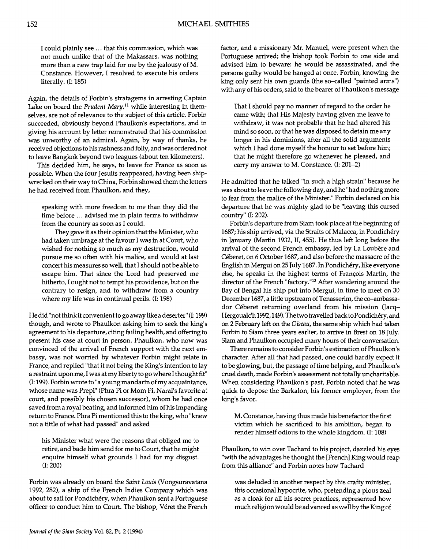I could plainly see ... that this commission, which was not much unlike that of the Makassars, was nothing more than a new trap laid for me by the jealousy of M. Constance. However, I resolved to execute his orders literally. (I: 185)

Again, the details of Forbin's stratagems in arresting Captain Lake on board the *Prudent Mary*,<sup>11</sup> while interesting in themselves, are not of relevance to the subject of this article. Forbin succeeded, obviously beyond Phaulkon's expectations, and in giving his account by letter remonstrated that his commission was unworthy of an admiral. Again, by way of thanks, he received objections to his rashness and folly, and was ordered not to leave Bangkok beyond two leagues (about ten kilometers).

This decided him, he says, to leave for France as soon as possible. When the four Jesuits reappeared, having been shipwrecked on their way to China, Forbin showed them the letters he had received from Phaulkon, and they,

speaking with more freedom to me than they did the time before ... advised me in plain terms to withdraw from the country as soon as I could.

They gave it as their opinion that the Minister, who had taken umbrage at the favour I was in at Court, who wished for nothing so much as my destruction, would pursue me so often with his malice, and would at last concert his measures so well, that I should not be able to escape him. That since the Lord had preserved me hitherto, I ought not to tempt his providence, but on the contrary to resign, and to withdraw from a country where my life was in continual perils. (I: 198)

He did "not think it convenient to go away like a deserter" (I: 199) though, and wrote to Phaulkon asking him to seek the king's agreement to his departure, citing failing health, and offering to present his case at court in person. Phaulkon, who now was convinced of the arrival of French support with the next embassy, was not worried by whatever Forbin might relate in France, and replied "that it not being the King's intention to lay a restraint upon me, I was at my liberty to go where I thought fit" (1: 199). Forbin wrote to "a young mandarin of my acquaintance, whose name was Prepi" (Phra Pi or Mom Pi, Narai's favorite at court, and possibly his chosen successor), whom he had once saved from a royal beating, and informed him of his impending return to France. Phra Pi mentioned this to the king, who "knew not a tittle of what had passed" and asked

his Minister what were the reasons that obliged me to retire, and bade him send for me to Court, that he might enquire himself what grounds I had for my disgust. (1: 200)

Forbin was already on board the *Saint Louis* (Vongsuravatana 1992, 282), a ship of the French Indies Company which was about to sail for Pondichéry, when Phaulkon sent a Portuguese officer to conduct him to Court. The bishop, Véret the French

factor, and a missionary Mr. Manuel, were present when the Portuguese arrived; the bishop took Forbin to one side and advised him to beware: he would be assassinated, and the persons guilty would be hanged at once. Forbin, knowing the king only sent his own guards (the so-called "painted arms") with any of his orders, said to the bearer of Phaulkon's message

That I should pay no manner of regard to the order he came with; that His Majesty having given me leave to withdraw, it was not probable that he had altered his mind so soon, or that he was disposed to detain me any longer in his dominions, after all the solid arguments which I had done myself the honour to set before him; that he might therefore go whenever he pleased, and carry my answer to M. Constance. (I: 201-2)

He admitted that he talked "in such a high strain" because he was about to leave the following day, and he "had nothing more to fear from the malice of the Minister." Forbin declared on his departure that he was mighty glad to be "leaving this cursed country" (I: 202).

Forbin's departure from Siam took place at the beginning of 1687; his ship arrived, via the Straits of Malacca, in Pondichéry in January (Martin 1932, II, 455). He thus left long before the arrival of the second French embassy, led by La Loubere and Ceberet, on 6 October 1687, and also before the massacre of the English in Mergui on 25 July 1687. In Pondichery, like everyone else, he speaks in the highest terms of François Martin, the director of the French "factory."12 After wandering around the Bay of Bengal his ship put into Mergui, in time to meet on 30 December 1687, a little upstream of Tenasserim, the co-ambassador Céberet returning overland from his mission (Jacq-Hergoualc'h 1992, 149). The two travelled back to Pondichéry, and on 2 February left on the *Oiseau,* the same ship which had taken Forbin to Siam three years earlier, to arrive in Brest on 18 July. Siam and Phaulkon occupied many hours of their conversation.

There remains to consider Forbin's estimation of Phaulkon's character. After all that had passed, one could hardly expect it to be glowing, but, the passage of time helping, and Phaulkon's cruel death, made Forbin's assessment not totally uncharitable. When considering Phaulkon's past, Forbin noted that he was quick to depose the Barkalon, his former employer, from the king's favor.

M. Constance, having thus made his benefactor the first victim which he sacrificed to his ambition, began to render himself odious to the whole kingdom. (I: 108)

Phaulkon, to win over Tachard to his project, dazzled his eyes "with the advantages he thought the [French] King would reap from this alliance" and Forbin notes how Tachard

was deluded in another respect by this crafty minister, this occasional hypocrite, who, pretending a pious zeal as a cloak for all his secret practices, represented how much religion would be advanced as well by the King of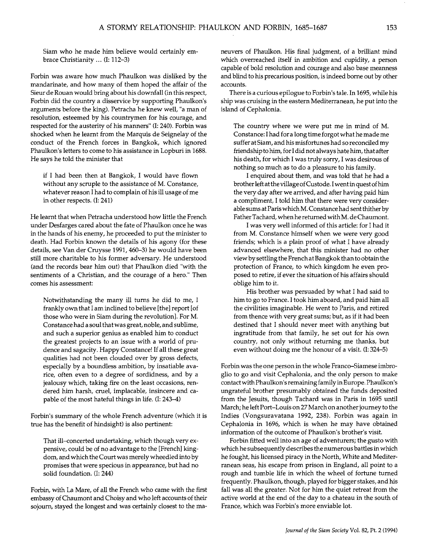Siam who he made him believe would certainly embrace Christianity ... (I: 112-3)

Forbin was aware how much Phaulkon was disliked by the mandarinate, and how many of them hoped the affair of the Sieur de Rouan would bring about his downfall (in this respect, Forbin did the country a disservice by supporting Phaulkon's arguments before the king). Petracha he knew well, "a man of resolution, esteemed by his countrymen for his courage, and respected for the austerity of his manners" (I: 240). Forbin was shocked when he learnt from the Marquis de Seignelay of the conduct of the French forces in Bangkok, which ignored Phaulkon's letters to come to his assistance in Lopburi in 1688. He says he told the minister that

if I had been then at Bangkok, I would have flown without any scruple to the assistance of M. Constance, whatever reason I had to complain of his ill usage of me in other respects. (I: 241)

He learnt that when Petracha understood how little the French under Desfarges cared about the fate of Phaulkon once he was in the hands of his enemy, he proceeded to put the minister to death. Had Forbin known the details of his agony (for these details, see Van der Cruysse 1991, 460-3) he would have been still more charitable to his former adversary. He understood (and the records bear him out) that Phaulkon died "with the sentiments of a Christian, and the courage of a hero." Then comes his assessment:

Notwithstanding the many ill turns he did to me, I frankly own that I am inclined to believe [the] report [of those who were in Siam during the revolution]. For M. Constance had a soul that was great, noble, and sublime, and such a superior genius as enabled him to conduct the greatest projects to an issue with a world of prudence and sagacity. Happy Constance! If all these great qualities had not been clouded over by gross defects, especially by a boundless ambition, by insatiable avarice, often even to a degree of sordidness, and by a jealousy which, taking fire on the least occasions, rendered him harsh, cruel, implacable, insincere and capable of the most hateful things in life. (I: 243-4)

Forbin's summary of the whole French adventure (which it is true has the benefit of hindsight) is also pertinent:

That ill-concerted undertaking, which though very expensive, could be of no advantage to the [French] kingdom, and which the Court was merely wheedled into by promises that were specious in appearance, but had no solid foundation. (I: 244)

Forbin, with La Mare, of all the French who came with the first embassy of Chaumont and Choisy and who left accounts of their sojourn, stayed the longest and was certainly closest to the maneuvers of Phaulkon. His final judgment, of a brilliant mind which overreached itself in ambition and cupidity, a person capable of bold resolution and courage and also base meanness and blind to his precarious position, is indeed borne out by other accounts.

There is a curious epilogue to Forbin's tale. In 1695, while his ship was cruising in the eastern Mediterranean, he put into the island of Cephalonia.

The country where we were put me in mind of M. Constance: I had for a long time forgot what he made me suffer at Siam, and his misfortunes had so reconciled my friendship to him, for I did not always hate him, that after his death, for which I was truly sorry, I was desirous of nothing so much as to do a pleasure to his family.

I enquired about them, and was told that he had a brother left atthe village ofCustode. I went in quest of him the very day after we arrived, and after having paid him a compliment, I told him that there were very considerable sums at Paris which M. Constance had sent thither by Father Tachard, when he returned with M. de Chaumont.

I was very well informed of this article: for I had it from M. Constance himself when we were very good friends; which is a plain proof of what I have already advanced elsewhere, that this minister had no other view by settling the French at Bangkok than to obtain the protection of France, to which kingdom he even proposed to retire, if ever the situation of his affairs should oblige him to it.

His brother was persuaded by what I had said to him to go to France. I took him aboard, and paid him all the civilities imaginable. He went to Paris, and retired from thence with very great sums; but, as if it had been destined that I should never meet with anything but ingratitude from that family, he set out for his own country, not only without returning me thanks, but even without doing me the honour of a visit. (I: 324-5)

Forbin was the one person in the whole Franco-Siamese imbroglio to go and visit Cephalonia, and the only person to make contact with Phaulkon 's remaining family in Europe. Phaulkon's ungrateful brother presumably obtained the funds deposited from the Jesuits, though Tachard was in Paris in 1695 until March; he left Port-Louis on 27 March on another journey to the Indies (Vongsuravatana 1992, 238). Forbin was again in Cephalonia in 1696, which is when he may have obtained information of the outcome of Phaulkon's brother's visit.

Forbin fitted well into an age of adventurers; the gusto with which he subsequently describes the numerous battles in which he fought, his licensed piracy in the North, White and Mediterranean seas, his escape from prison in England, all point to a rough and tumble life in which the wheel of fortune turned frequently. Phaulkon, though, played for bigger stakes, and his fall was all the greater. Not for him the quiet retreat from the active world at the end of the day to a chateau in the south of France, which was Forbin's more enviable lot.